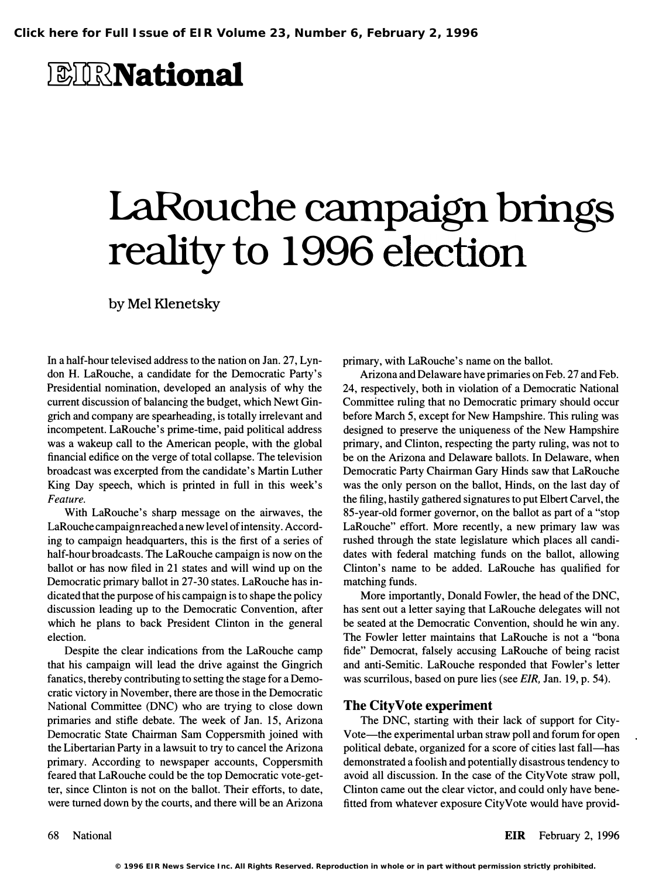## *<b>BIRNational*

# laRouche campaign brings reality to 1996 election

by Mel Klenetsky

In a half-hour televised address to the nation on Jan. 27, Lyndon H. LaRouche, a candidate for the Democratic Party's Presidential nomination, developed an analysis of why the current discussion of balancing the budget, which Newt Gingrich and company are spearheading, is totally irrelevant and incompetent. LaRouche's prime-time, paid political address was a wakeup call to the American people, with the global financial edifice on the verge of total collapse. The television broadcast was excerpted from the candidate's Martin Luther King Day speech, which is printed in full in this week's Feature.

With LaRouche's sharp message on the airwaves, the LaRouche campaign reached a new level of intensity. According to campaign headquarters, this is the first of a series of half-hour broadcasts. The LaRouche campaign is now on the ballot or has now filed in 21 states and will wind up on the Democratic primary ballot in 27-30 states. LaRouche has indicated that the purpose of his campaign is to shape the policy discussion leading up to the Democratic Convention, after which he plans to back President Clinton in the general election.

Despite the clear indications from the LaRouche camp that his campaign will lead the drive against the Gingrich fanatics, thereby contributing to setting the stage for a Democratic victory in November, there are those in the Democratic National Committee (DNC) who are trying to close down primaries and stifle debate. The week of Jan. 15, Arizona Democratic State Chairman Sam Coppersmith joined with the Libertarian Party in a lawsuit to try to cancel the Arizona primary. According to newspaper accounts, Coppersmith feared that LaRouche could be the top Democratic vote-getter, since Clinton is not on the ballot. Their efforts, to date, were turned down by the courts, and there will be an Arizona

primary, with LaRouche's name on the ballot.

Arizona and Delaware have primaries on Feb. 27 and Feb. 24, respectively, both in violation of a Democratic National Committee ruling that no Democratic primary should occur before March 5, except for New Hampshire. This ruling was designed to preserve the uniqueness of the New Hampshire primary, and Clinton, respecting the party ruling, was not to be on the Arizona and Delaware ballots. In Delaware, when Democratic Party Chairman Gary Hinds saw that LaRouche was the only person on the ballot, Hinds, on the last day of the filing, hastily gathered signatures to put Elbert Carvel, the 85-year-old former governor, on the ballot as part of a "stop LaRouche" effort. More recently, a new primary law was rushed through the state legislature which places all candidates with federal matching funds on the ballot, allowing Clinton's name to be added. LaRouche has qualified for matching funds.

More importantly, Donald Fowler, the head of the DNC, has sent out a letter saying that LaRouche delegates will not be seated at the Democratic Convention, should he win any. The Fowler letter maintains that LaRouche is not a "bona fide" Democrat, falsely accusing LaRouche of being racist and anti-Semitic. LaRouche responded that Fowler's letter was scurrilous, based on pure lies (see EIR, Jan. 19, p. 54).

### The CityVote experiment

The DNC, starting with their lack of support for City-Vote—the experimental urban straw poll and forum for open political debate, organized for a score of cities last fall—has demonstrated a foolish and potentially disastrous tendency to avoid all discussion. In the case of the CityVote straw poll, Clinton came out the clear victor, and could only have benefitted from whatever exposure CityVote would have provid